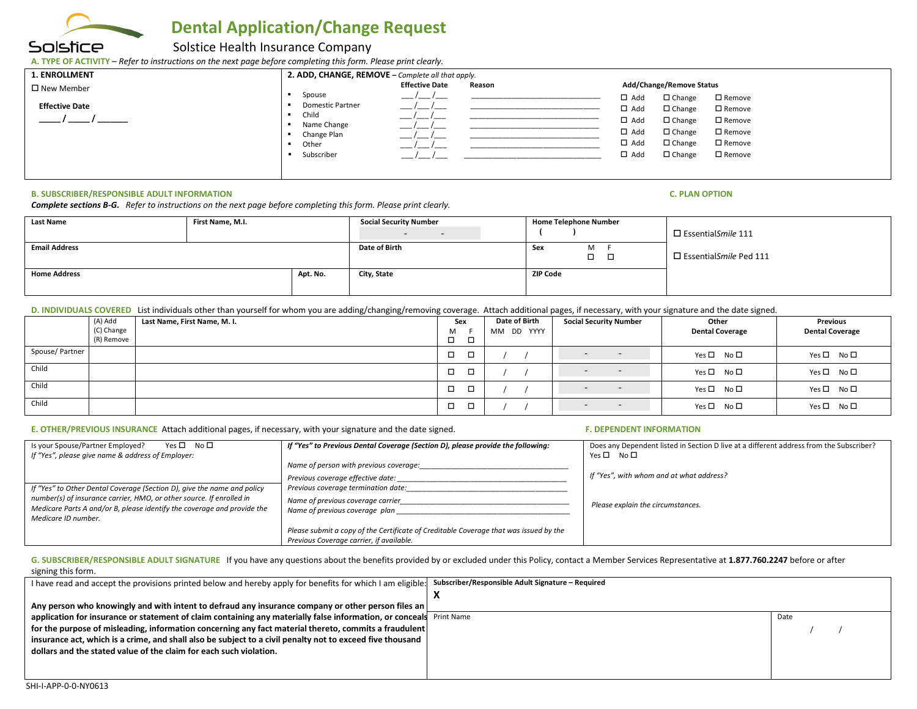

# **Dental Application/Change Request**

## Solstice Health Insurance Company

**A. TYPE OF ACTIVITY** – *Refer to instructions on the next page before completing this form. Please print clearly.* 

| <b>1. ENROLLMENT</b>  | 2. ADD, CHANGE, REMOVE - Complete all that apply. |                       |        |                                                               |  |
|-----------------------|---------------------------------------------------|-----------------------|--------|---------------------------------------------------------------|--|
| $\square$ New Member  |                                                   | <b>Effective Date</b> | Reason | Add/Change/Remove Status                                      |  |
| <b>Effective Date</b> | Spouse<br><b>Domestic Partner</b>                 |                       |        | $\Box$ Add<br>$\Box$ Change<br>□ Remove                       |  |
|                       | Child                                             |                       |        | $\Box$ Add<br>$\Box$ Change<br>□ Remove                       |  |
|                       | Name Change                                       | __                    |        | $\Box$ Add<br>$\Box$ Change<br>□ Remove                       |  |
|                       | Change Plan                                       |                       |        | $\Box$ Add<br>$\Box$ Change<br>□ Remove                       |  |
|                       | Other<br>Subscriber                               |                       |        | $\Box$ Add<br>$\Box$ Change<br>$\square$ Remove<br>$\Box$ Add |  |
|                       |                                                   |                       |        | $\Box$ Change<br>□ Remove                                     |  |
|                       |                                                   |                       |        |                                                               |  |

#### **B. SUBSCRIBER/RESPONSIBLE ADULT INFORMATION C. PLAN OPTION**

*Complete sections B-G. Refer to instructions on the next page before completing this form. Please print clearly.*

| <b>Last Name</b>     | First Name, M.I. |               | <b>Social Security Number</b><br>$\sim$<br>$\sim$ | <b>Home Telephone Number</b>   | $\square$ Essential Smile 111 |
|----------------------|------------------|---------------|---------------------------------------------------|--------------------------------|-------------------------------|
| <b>Email Address</b> |                  | Date of Birth | M<br>Sex<br>$\Box$ $\Box$                         | $\Box$ Essential Smile Ped 111 |                               |
| <b>Home Address</b>  |                  | Apt. No.      | City, State                                       | <b>ZIP Code</b>                |                               |

### D. INDIVIDUALS COVERED List individuals other than yourself for whom you are adding/changing/removing coverage. Attach additional pages, if necessary, with your signature and the date signed.

|                | (A) Add    | Last Name, First Name, M. I. | Sex                     | <b>Date of Birth</b> | <b>Social Security Number</b>      | Other                  | Previous               |
|----------------|------------|------------------------------|-------------------------|----------------------|------------------------------------|------------------------|------------------------|
|                | (C) Change |                              | M                       | MM DD YYYY           |                                    | <b>Dental Coverage</b> | <b>Dental Coverage</b> |
|                | (R) Remove |                              | □<br>−                  |                      |                                    |                        |                        |
| Spouse/Partner |            |                              | n.<br>۰<br>۰            |                      | $\sim$<br>$\overline{\phantom{0}}$ | Yes □ No □             | Yes □ No □             |
| Child          |            |                              | <b>n</b><br>۰<br>$\sim$ |                      | $\overline{\phantom{0}}$           | Yes □ No □             | $Yes \Box No \Box$     |
| Child          |            |                              | $\Box$<br>٠             |                      | $\overline{\phantom{0}}$<br>$\sim$ | Yes □ No □             | Yes □ No □             |
| Child          |            |                              | $\Box$<br>−             |                      | $\sim$<br>$\overline{\phantom{a}}$ | Yes □ No □             | $Yes \Box No \Box$     |

### **E. OTHER/PREVIOUS INSURANCE** Attach additional pages, if necessary, with your signature and the date signed. **F. DEPENDENT INFORMATION**

| Is your Spouse/Partner Employed?<br>$Yes \Box No \Box$<br>If "Yes", please give name & address of Employer:                                                            | If "Yes" to Previous Dental Coverage (Section D), please provide the following:                                                   | Does any Dependent listed in Section D live at a different address from the Subscriber?<br>$Yes \Box No \Box$ |
|------------------------------------------------------------------------------------------------------------------------------------------------------------------------|-----------------------------------------------------------------------------------------------------------------------------------|---------------------------------------------------------------------------------------------------------------|
| If "Yes" to Other Dental Coverage (Section D), give the name and policy                                                                                                | Name of person with previous coverage:<br>Previous coverage effective date:<br>Previous coverage termination date:                | If "Yes", with whom and at what address?                                                                      |
| number(s) of insurance carrier, HMO, or other source. If enrolled in<br>Medicare Parts A and/or B, please identify the coverage and provide the<br>Medicare ID number. | Name of previous coverage carrier<br>Name of previous coverage plan                                                               | Please explain the circumstances.                                                                             |
|                                                                                                                                                                        | Please submit a copy of the Certificate of Creditable Coverage that was issued by the<br>Previous Coverage carrier, if available. |                                                                                                               |

#### G. SUBSCRIBER/RESPONSIBLE ADULT SIGNATURE If you have any questions about the benefits provided by or excluded under this Policy, contact a Member Services Representative at 1.877.760.2247 before or after signing this form.

| I have read and accept the provisions printed below and hereby apply for benefits for which I am eligible: Subscriber/Responsible Adult Signature - Required |      |
|--------------------------------------------------------------------------------------------------------------------------------------------------------------|------|
|                                                                                                                                                              |      |
| Any person who knowingly and with intent to defraud any insurance company or other person files an                                                           |      |
| application for insurance or statement of claim containing any materially false information, or conceals Print Name                                          | Date |
| for the purpose of misleading, information concerning any fact material thereto, commits a fraudulent                                                        |      |
| insurance act, which is a crime, and shall also be subject to a civil penalty not to exceed five thousand                                                    |      |
| dollars and the stated value of the claim for each such violation.                                                                                           |      |
|                                                                                                                                                              |      |
|                                                                                                                                                              |      |